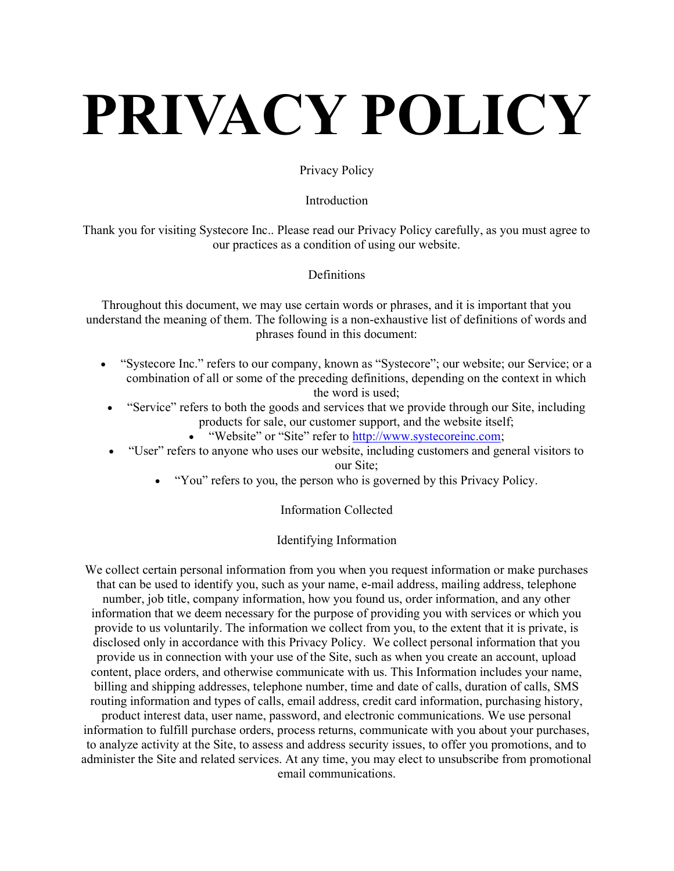# PRIVACY POLICY

#### Privacy Policy

#### Introduction

Thank you for visiting Systecore Inc.. Please read our Privacy Policy carefully, as you must agree to our practices as a condition of using our website.

#### **Definitions**

Throughout this document, we may use certain words or phrases, and it is important that you understand the meaning of them. The following is a non-exhaustive list of definitions of words and phrases found in this document:

- "Systecore Inc." refers to our company, known as "Systecore"; our website; our Service; or a combination of all or some of the preceding definitions, depending on the context in which the word is used;
- "Service" refers to both the goods and services that we provide through our Site, including products for sale, our customer support, and the website itself;
	- . "Website" or "Site" refer to http://www.systecoreinc.com;
- "User" refers to anyone who uses our website, including customers and general visitors to our Site;
	- "You" refers to you, the person who is governed by this Privacy Policy.

## Information Collected

#### Identifying Information

We collect certain personal information from you when you request information or make purchases that can be used to identify you, such as your name, e-mail address, mailing address, telephone number, job title, company information, how you found us, order information, and any other information that we deem necessary for the purpose of providing you with services or which you provide to us voluntarily. The information we collect from you, to the extent that it is private, is disclosed only in accordance with this Privacy Policy. We collect personal information that you provide us in connection with your use of the Site, such as when you create an account, upload content, place orders, and otherwise communicate with us. This Information includes your name, billing and shipping addresses, telephone number, time and date of calls, duration of calls, SMS routing information and types of calls, email address, credit card information, purchasing history, product interest data, user name, password, and electronic communications. We use personal information to fulfill purchase orders, process returns, communicate with you about your purchases, to analyze activity at the Site, to assess and address security issues, to offer you promotions, and to administer the Site and related services. At any time, you may elect to unsubscribe from promotional email communications.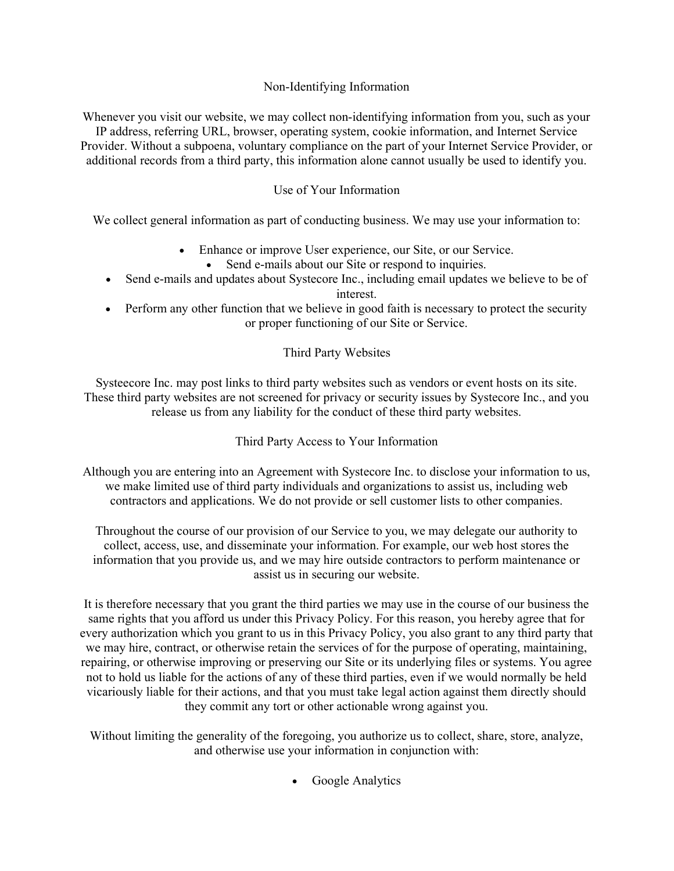#### Non-Identifying Information

Whenever you visit our website, we may collect non-identifying information from you, such as your IP address, referring URL, browser, operating system, cookie information, and Internet Service Provider. Without a subpoena, voluntary compliance on the part of your Internet Service Provider, or additional records from a third party, this information alone cannot usually be used to identify you.

# Use of Your Information

We collect general information as part of conducting business. We may use your information to:

- Enhance or improve User experience, our Site, or our Service.
	- Send e-mails about our Site or respond to inquiries.
- Send e-mails and updates about Systecore Inc., including email updates we believe to be of interest.
- Perform any other function that we believe in good faith is necessary to protect the security or proper functioning of our Site or Service.

## Third Party Websites

Systeecore Inc. may post links to third party websites such as vendors or event hosts on its site. These third party websites are not screened for privacy or security issues by Systecore Inc., and you release us from any liability for the conduct of these third party websites.

Third Party Access to Your Information

Although you are entering into an Agreement with Systecore Inc. to disclose your information to us, we make limited use of third party individuals and organizations to assist us, including web contractors and applications. We do not provide or sell customer lists to other companies.

Throughout the course of our provision of our Service to you, we may delegate our authority to collect, access, use, and disseminate your information. For example, our web host stores the information that you provide us, and we may hire outside contractors to perform maintenance or assist us in securing our website.

It is therefore necessary that you grant the third parties we may use in the course of our business the same rights that you afford us under this Privacy Policy. For this reason, you hereby agree that for every authorization which you grant to us in this Privacy Policy, you also grant to any third party that we may hire, contract, or otherwise retain the services of for the purpose of operating, maintaining, repairing, or otherwise improving or preserving our Site or its underlying files or systems. You agree not to hold us liable for the actions of any of these third parties, even if we would normally be held vicariously liable for their actions, and that you must take legal action against them directly should they commit any tort or other actionable wrong against you.

Without limiting the generality of the foregoing, you authorize us to collect, share, store, analyze, and otherwise use your information in conjunction with:

Google Analytics